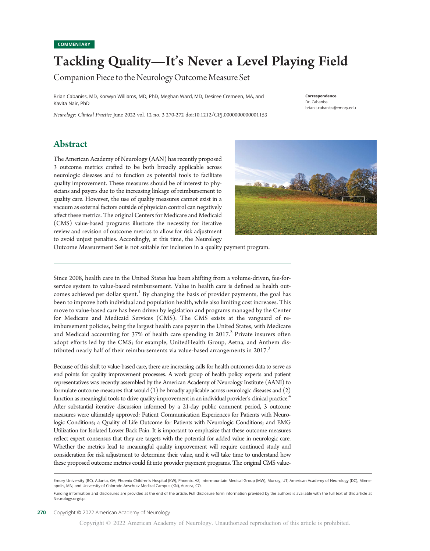# Tackling Quality—It's Never a Level Playing Field

 $\mathcal{C}$ 

Brian Cabaniss, MD, Korwyn Williams, MD, PhD, Meghan Ward, MD, Desiree Cremeen, MA, and Kavita Nair, PhD

Neurology: Clinical Practice June 2022 vol. 12 no. 3 270-272 doi:10.1212/CPJ.0000000000001153

#### Correspondence Dr. Cabaniss [brian.t.cabaniss@emory.edu](mailto:brian.t.cabaniss@emory.edu)

### Abstract

The American Academy of Neurology (AAN) has recently proposed 3 outcome metrics crafted to be both broadly applicable across neurologic diseases and to function as potential tools to facilitate quality improvement. These measures should be of interest to physicians and payers due to the increasing linkage of reimbursement to quality care. However, the use of quality measures cannot exist in a vacuum as external factors outside of physician control can negatively affect these metrics. The original Centers for Medicare and Medicaid (CMS) value-based programs illustrate the necessity for iterative review and revision of outcome metrics to allow for risk adjustment to avoid unjust penalties. Accordingly, at this time, the Neurology



Outcome Measurement Set is not suitable for inclusion in a quality payment program.

Since 2008, health care in the United States has been shifting from a volume-driven, fee-forservice system to value-based reimbursement. Value in health care is defined as health outcomes achieved per dollar spent.<sup>1</sup> By changing the basis of provider payments, the goal has been to improve both individual and population health, while also limiting cost increases. This move to value-based care has been driven by legislation and programs managed by the Center for Medicare and Medicaid Services (CMS). The CMS exists at the vanguard of reimbursement policies, being the largest health care payer in the United States, with Medicare and Medicaid accounting for 37% of health care spending in  $2017<sup>2</sup>$  Private insurers often adopt efforts led by the CMS; for example, UnitedHealth Group, Aetna, and Anthem distributed nearly half of their reimbursements via value-based arrangements in  $2017<sup>3</sup>$ 

Because of this shift to value-based care, there are increasing calls for health outcomes data to serve as end points for quality improvement processes. A work group of health policy experts and patient representatives was recently assembled by the American Academy of Neurology Institute (AANI) to formulate outcome measures that would (1) be broadly applicable across neurologic diseases and (2) function as meaningful tools to drive quality improvement in an individual provider's clinical practice.<sup>4</sup> After substantial iterative discussion informed by a 21-day public comment period, 3 outcome measures were ultimately approved: Patient Communication Experiences for Patients with Neurologic Conditions; a Quality of Life Outcome for Patients with Neurologic Conditions; and EMG Utilization for Isolated Lower Back Pain. It is important to emphasize that these outcome measures reflect expert consensus that they are targets with the potential for added value in neurologic care. Whether the metrics lead to meaningful quality improvement will require continued study and consideration for risk adjustment to determine their value, and it will take time to understand how these proposed outcome metrics could fit into provider payment programs. The original CMS value-

Emory University (BC), Atlanta, GA; Phoenix Children's Hospital (KW), Phoenix, AZ; Intermountain Medical Group (MW), Murray, UT; American Academy of Neurology (DC), Minneapolis, MN; and University of Colorado Anschutz Medical Campus (KN), Aurora, CO.

Funding information and disclosures are provided at the end of the article. Full disclosure form information provided by the authors is available with the full text of this article at [Neurology.org/cp](https://cp.neurology.org/lookup/doi/10.1212/CPJ.0000000000001153).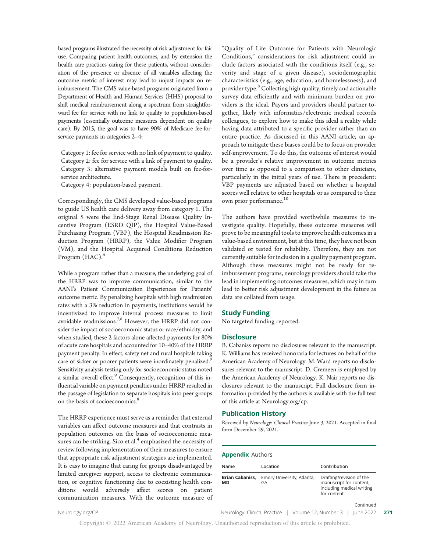based programs illustrated the necessity of risk adjustment for fair use. Comparing patient health outcomes, and by extension the health care practices caring for these patients, without consideration of the presence or absence of all variables affecting the outcome metric of interest may lead to unjust impacts on reimbursement. The CMS value-based programs originated from a Department of Health and Human Services (HHS) proposal to shift medical reimbursement along a spectrum from straightforward fee for service with no link to quality to population-based payments (essentially outcome measures dependent on quality care). By 2015, the goal was to have 90% of Medicare fee-forservice payments in categories 2–4:

Category 1: fee for service with no link of payment to quality. Category 2: fee for service with a link of payment to quality. Category 3: alternative payment models built on fee-forservice architecture.

Category 4: population-based payment.

Correspondingly, the CMS developed value-based programs to guide US health care delivery away from category 1. The original 5 were the End-Stage Renal Disease Quality Incentive Program (ESRD QIP), the Hospital Value-Based Purchasing Program (VBP), the Hospital Readmission Reduction Program (HRRP), the Value Modifier Program (VM), and the Hospital Acquired Conditions Reduction Program (HAC).<sup>6</sup>

While a program rather than a measure, the underlying goal of the HRRP was to improve communication, similar to the AANI's Patient Communication Experiences for Patients' outcome metric. By penalizing hospitals with high readmission rates with a 3% reduction in payments, institutions would be incentivized to improve internal process measures to limit avoidable readmissions.<sup>7,8</sup> However, the HRRP did not consider the impact of socioeconomic status or race/ethnicity, and when studied, these 2 factors alone affected payments for 80% of acute care hospitals and accounted for 10–40% of the HRRP payment penalty. In effect, safety net and rural hospitals taking care of sicker or poorer patients were inordinately penalized.<sup>9</sup> Sensitivity analysis testing only for socioeconomic status noted a similar overall effect.<sup>9</sup> Consequently, recognition of this influential variable on payment penalties under HRRP resulted in the passage of legislation to separate hospitals into peer groups on the basis of socioeconomics.<sup>8</sup>

The HRRP experience must serve as a reminder that external variables can affect outcome measures and that contrasts in population outcomes on the basis of socioeconomic measures can be striking. Sico et al.<sup>4</sup> emphasized the necessity of review following implementation of their measures to ensure that appropriate risk adjustment strategies are implemented. It is easy to imagine that caring for groups disadvantaged by limited caregiver support, access to electronic communication, or cognitive functioning due to coexisting health conditions would adversely affect scores on patient communication measures. With the outcome measure of "Quality of Life Outcome for Patients with Neurologic Conditions," considerations for risk adjustment could include factors associated with the conditions itself (e.g., severity and stage of a given disease), sociodemographic characteristics (e.g., age, education, and homelessness), and provider type.<sup>8</sup> Collecting high quality, timely and actionable survey data efficiently and with minimum burden on providers is the ideal. Payers and providers should partner together, likely with informatics/electronic medical records colleagues, to explore how to make this ideal a reality while having data attributed to a specific provider rather than an entire practice. As discussed in this AANI article, an approach to mitigate these biases could be to focus on provider self-improvement. To do this, the outcome of interest would be a provider's relative improvement in outcome metrics over time as opposed to a comparison to other clinicians, particularly in the initial years of use. There is precedent: VBP payments are adjusted based on whether a hospital scores well relative to other hospitals or as compared to their own prior performance.<sup>10</sup>

The authors have provided worthwhile measures to investigate quality. Hopefully, these outcome measures will prove to be meaningful tools to improve health outcomes in a value-based environment, but at this time, they have not been validated or tested for reliability. Therefore, they are not currently suitable for inclusion in a quality payment program. Although these measures might not be ready for reimbursement programs, neurology providers should take the lead in implementing outcomes measures, which may in turn lead to better risk adjustment development in the future as data are collated from usage.

#### Study Funding

No targeted funding reported.

#### **Disclosure**

B. Cabaniss reports no disclosures relevant to the manuscript. K. Williams has received honoraria for lectures on behalf of the American Academy of Neurology. M. Ward reports no disclosures relevant to the manuscript. D. Cremeen is employed by the American Academy of Neurology. K. Nair reports no disclosures relevant to the manuscript. Full disclosure form information provided by the authors is available with the full text of this article at [Neurology.org/cp](https://cp.neurology.org/lookup/doi/10.1212/CPJ.0000000000001153).

#### Publication History

Received by Neurology: Clinical Practice June 3, 2021. Accepted in final form December 29, 2021.

#### Appendix Authors

| Name                         | Location                         | Contribution                                                                                    |
|------------------------------|----------------------------------|-------------------------------------------------------------------------------------------------|
| <b>Brian Cabaniss,</b><br>MD | Emory University, Atlanta,<br>GA | Drafting/revision of the<br>manuscript for content,<br>including medical writing<br>for content |
|                              |                                  | Continued                                                                                       |

[Neurology.org/CP](http://neurology.org/cp) 2022 271 Neurology: Clinical Practice | Volume 12, Number 3 | June 2022 271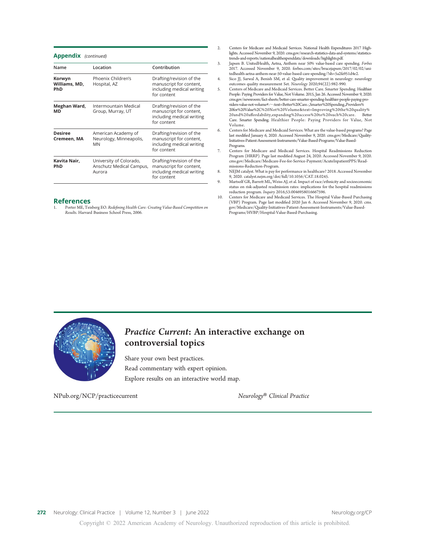Appendix (continued)

| Name                                  | Location                                                      | Contribution                                                                                    |
|---------------------------------------|---------------------------------------------------------------|-------------------------------------------------------------------------------------------------|
| Korwyn<br>Williams, MD,<br><b>PhD</b> | Phoenix Children's<br>Hospital, AZ                            | Drafting/revision of the<br>manuscript for content,<br>including medical writing<br>for content |
| Meghan Ward,<br>MD                    | Intermountain Medical<br>Group, Murray, UT                    | Drafting/revision of the<br>manuscript for content,<br>including medical writing<br>for content |
| <b>Desiree</b><br>Cremeen, MA         | American Academy of<br>Neurology, Minneapolis,<br><b>MN</b>   | Drafting/revision of the<br>manuscript for content,<br>including medical writing<br>for content |
| Kavita Nair,<br><b>PhD</b>            | University of Colorado,<br>Anschutz Medical Campus,<br>Aurora | Drafting/revision of the<br>manuscript for content,<br>including medical writing<br>for content |

#### References

1. Porter ME, Teisberg EO. Redefining Health Care: Creating Value-Based Competition on Results. Harvard Business School Press, 2006.

- 2. Centers for Medicare and Medicaid Services. National Health Expenditures 2017 Highlights. Accessed November 9, 2020. [cms.gov/research-statistics-data-and-systems/statistics](http://cms.gov/research-statistics-data-and-systems/statistics-trends-and-reports/nationalhealthexpenddata/downloads/highlights.pdf)[trends-and-reports/nationalhealthexpenddata/downloads/highlights.pdf.](http://cms.gov/research-statistics-data-and-systems/statistics-trends-and-reports/nationalhealthexpenddata/downloads/highlights.pdf)
- 3. Japsen B. UnitedHealth, Aetna, Anthem near 50% value-based care spending. Forbes 2017. Accessed November 9, 2020. [forbes.com/sites/brucejapsen/2017/02/02/uni](http://forbes.com/sites/brucejapsen/2017/02/02/unitedhealth-aetna-anthem-near-50-value-based-care-spending/?sh=5a2fa951d4e2)[tedhealth-aetna-anthem-near-50-value-based-care-spending/?sh=5a2fa951d4e2.](http://forbes.com/sites/brucejapsen/2017/02/02/unitedhealth-aetna-anthem-near-50-value-based-care-spending/?sh=5a2fa951d4e2)
- 4. Sico JJ, Sarwal A, Benish SM, et al. Quality improvement in neurology: neurology outcomes quality measurement Set. Neurology 2020;94(22):982-990.
- 5. Centers of Medicare and Medicaid Services. Better Care. Smarter Spending. Healthier People: Paying Providers for Value, Not Volume. 2015, Jan 26. Accessed November 9, 2020. [cms.gov/newsroom/fact-sheets/better-care-smarter-spending-healthier-people-paying-pro](http://cms.gov/newsroom/fact-sheets/better-care-smarter-spending-healthier-people-paying-providers-value-not-volume#:%7E:text=Better%20Care.-,Smarter%20Spending.,Providers%20for%20Value%2C%20Not%20Volume&text=Improving%20the%20quality%20and%20affordability,expanding%20access%20to%20such%20care)[viders-value-not-volume#:](http://cms.gov/newsroom/fact-sheets/better-care-smarter-spending-healthier-people-paying-providers-value-not-volume#:%7E:text=Better%20Care.-,Smarter%20Spending.,Providers%20for%20Value%2C%20Not%20Volume&text=Improving%20the%20quality%20and%20affordability,expanding%20access%20to%20such%20care)~[:text=Better%20Care.-,Smarter%20Spending.,Providers%](http://cms.gov/newsroom/fact-sheets/better-care-smarter-spending-healthier-people-paying-providers-value-not-volume#:%7E:text=Better%20Care.-,Smarter%20Spending.,Providers%20for%20Value%2C%20Not%20Volume&text=Improving%20the%20quality%20and%20affordability,expanding%20access%20to%20such%20care) [20for%20Value%2C%20Not%20Volume&text](http://cms.gov/newsroom/fact-sheets/better-care-smarter-spending-healthier-people-paying-providers-value-not-volume#:%7E:text=Better%20Care.-,Smarter%20Spending.,Providers%20for%20Value%2C%20Not%20Volume&text=Improving%20the%20quality%20and%20affordability,expanding%20access%20to%20such%20care)=[Improving%20the%20quality%](http://cms.gov/newsroom/fact-sheets/better-care-smarter-spending-healthier-people-paying-providers-value-not-volume#:%7E:text=Better%20Care.-,Smarter%20Spending.,Providers%20for%20Value%2C%20Not%20Volume&text=Improving%20the%20quality%20and%20affordability,expanding%20access%20to%20such%20care) 20and%20aff[ordability,expanding%20access%20to%20such%20care](http://cms.gov/newsroom/fact-sheets/better-care-smarter-spending-healthier-people-paying-providers-value-not-volume#:%7E:text=Better%20Care.-,Smarter%20Spending.,Providers%20for%20Value%2C%20Not%20Volume&text=Improving%20the%20quality%20and%20affordability,expanding%20access%20to%20such%20care). Better Care. Smarter Spending. Healthier People: Paying Providers for Value, Not Volume.
- 6. Centers for Medicare and Medicaid Services. What are the value-based programs? Page last modified January 6, 2020. Accessed November 9, 2020. [cms.gov/Medicare/Quality-](http://cms.gov/Medicare/Quality-Initiatives-Patient-Assessment-Instruments/Value-Based-Programs/Value-Based-Programs)[Initiatives-Patient-Assessment-Instruments/Value-Based-Programs/Value-Based-](http://cms.gov/Medicare/Quality-Initiatives-Patient-Assessment-Instruments/Value-Based-Programs/Value-Based-Programs)[Programs.](http://cms.gov/Medicare/Quality-Initiatives-Patient-Assessment-Instruments/Value-Based-Programs/Value-Based-Programs)
- 7. Centers for Medicare and Medicaid Services. Hospital Readmissions Reduction Program (HRRP). Page last modified August 24, 2020. Accessed November 9, 2020. [cms.gov/Medicare/Medicare-Fee-for-Service-Payment/AcuteInpatientPPS/Read](http://cms.gov/Medicare/Medicare-Fee-for-Service-Payment/AcuteInpatientPPS/Readmissions-Reduction-Program)[missions-Reduction-Program](http://cms.gov/Medicare/Medicare-Fee-for-Service-Payment/AcuteInpatientPPS/Readmissions-Reduction-Program).
- 8. NEJM catalyst. What is pay for performance in healthcare? 2018. Accessed November 9, 2020. [catalyst.nejm.org/doi/full/10.1056/CAT.18.0245](http://catalyst.nejm.org/doi/full/10.1056/CAT.18.0245).
- Martsolf GR, Barrett ML, Weiss AJ, et al. Impact of race/ethnicity and socioeconomic status on risk-adjusted readmission rates: implications for the hospital readmissions reduction program. Inquiry 2016;53:0046958016667596.
- 10. Centers for Medicare and Medicaid Services. The Hospital Value-Based Purchasing (VBP) Program. Page last modified 2020 Jan 6. Accessed November 9, 2020. [cms.](https://www.cms.gov/Medicare/Quality-Initiatives-Patient-Assessment-Instruments/Value-Based-Programs/HVBP/Hospital-Value-Based-Purchasing) [gov/Medicare/Quality-Initiatives-Patient-Assessment-Instruments/Value-Based-](https://www.cms.gov/Medicare/Quality-Initiatives-Patient-Assessment-Instruments/Value-Based-Programs/HVBP/Hospital-Value-Based-Purchasing)[Programs/HVBP/Hospital-Value-Based-Purchasing.](https://www.cms.gov/Medicare/Quality-Initiatives-Patient-Assessment-Instruments/Value-Based-Programs/HVBP/Hospital-Value-Based-Purchasing)



## Practice Current: An interactive exchange on controversial topics

Share your own best practices. Read commentary with expert opinion. Explore results on an interactive world map.

[NPub.org/NCP/practicecurrent](http://NPub.org/NCP/practicecurrent) Neurology® Clinical Practice